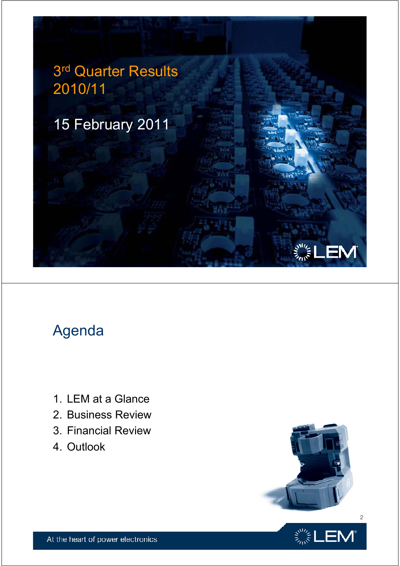

# Agenda

- 1. LEM at a Glance
- 2. Business Review
- 3. Financial Review
- 4. Outlook



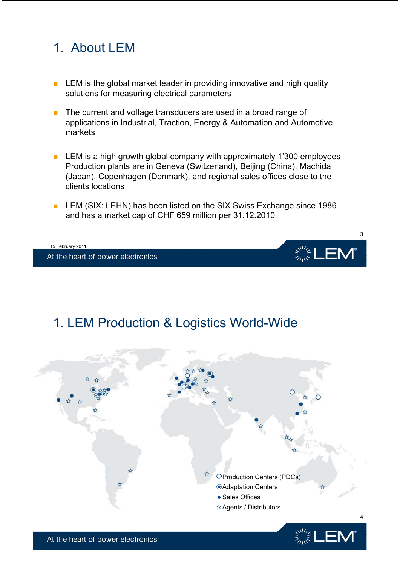# 1. About LEM

- LEM is the global market leader in providing innovative and high quality solutions for measuring electrical parameters
- $\blacksquare$  The current and voltage transducers are used in a broad range of applications in Industrial, Traction, Energy & Automation and Automotive markets
- **EXEM** is a high growth global company with approximately 1'300 employees Production plants are in Geneva (Switzerland), Beijing (China), Machida (Japan), Copenhagen (Denmark), and regional sales offices close to the clients locations
- LEM (SIX: LEHN) has been listed on the SIX Swiss Exchange since 1986<br>and has a market cap of CHF 659 million per 31.12.2010



# 1. LEM Production & Logistics World-Wide

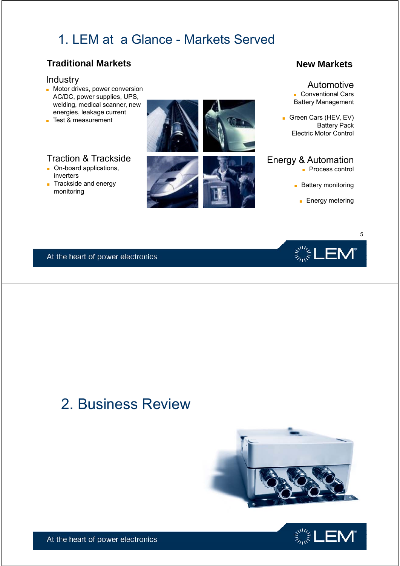# 1. LEM at a Glance - Markets Served

## **Traditional Markets New Markets New Markets**

#### Industry

- Motor drives, power conversion AC/DC, power supplies, UPS, welding, medical scanner, new energies, leakage current
- Test & measurement

### Traction & Trackside

- On-board applications, inverters
- Trackside and energy



#### Automotive ■ Conventional Cars

Battery Management

■ Green Cars (HEV, EV) Battery Pack Electric Motor Control

## Energy & Automation

- Process control
- 



 $\mathbf{L}\in\mathbb{R}^{n\times n}$ 

5

At the heart of power electronics

# 2. Business Review



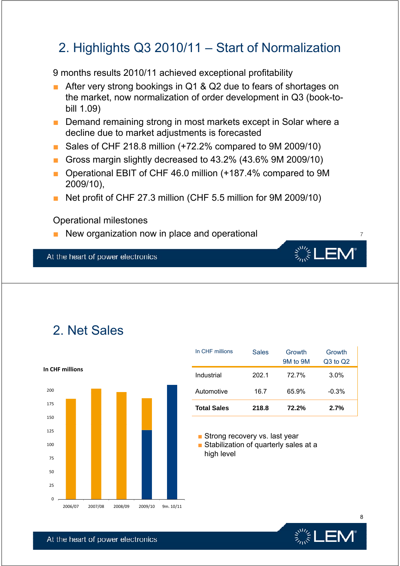# 2. Highlights  $Q3 2010/11 -$  Start of Normalization

9 months results 2010/11 achieved exceptional profitability

- After very strong bookings in Q1 & Q2 due to fears of shortages on the market, now normalization of order development in Q3 (book-tobill 1.09)
- Demand remaining strong in most markets except in Solar where a decline due to market adjustments is forecasted
- Sales of CHF 218.8 million (+72.2% compared to 9M 2009/10)
- Gross margin slightly decreased to 43.2% (43.6% 9M 2009/10)
- Operational EBIT of CHF 46.0 million  $(+187.4%$  compared to 9M 2009/10),
- Net profit of CHF 27.3 million (CHF 5.5 million for 9M 2009/10)

#### Operational milestones

**■** New organization now in place and operational  $\frac{1}{7}$ 

At the heart of power electronics

# 2. Net Sales



|                | In CHF millions    | <b>Sales</b> | Growth<br>9M to 9M | Growth<br>Q3 to Q2 |
|----------------|--------------------|--------------|--------------------|--------------------|
| າ CHF millions | Industrial         | 202.1        | 72.7%              | 3.0%               |
| 200            | Automotive         | 16.7         | 65.9%              | $-0.3%$            |
| 175            | <b>Total Sales</b> | 218.8        | 72.2%              | 2.7%               |

 $\ddot{\varepsilon}^{\rm sw}_{\tilde{\varepsilon}}$ L

■ Strong recovery vs. last year

■ Stabilization of quarterly sales at a high level



8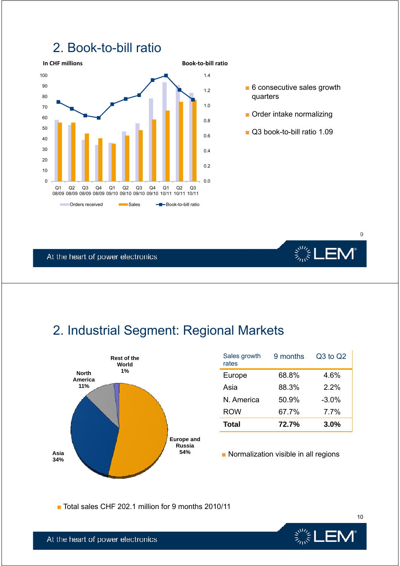



- quarters
- 
- Q3 book-to-bill ratio 1.09

9

**、" LEM** 

At the heart of power electronics

# 2. Industrial Segment: Regional Markets



| Sales growth<br>rates | 9 months | Q3 to Q2 |
|-----------------------|----------|----------|
| Europe                | 68.8%    | 4.6%     |
| Asia                  | 88.3%    | 2.2%     |
| N. America            | 50.9%    | $-3.0\%$ |
| <b>ROW</b>            | 67.7%    | 7.7%     |
| <b>Total</b>          | 72.7%    | $3.0\%$  |

■ Total sales CHF 202.1 million for 9 months 2010/11



10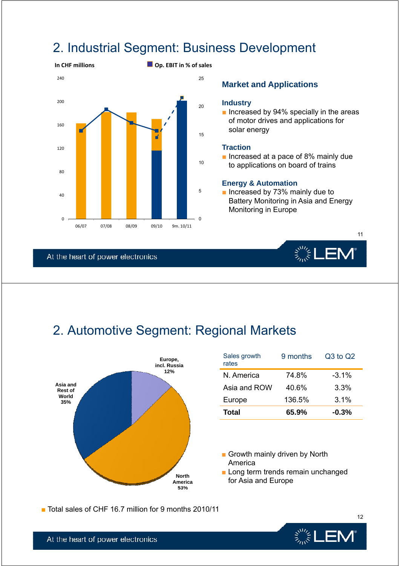# 2. Industrial Segment: Business Development



#### **Market and Applications**

#### **Industry**

Increased by 94% specially in the areas of motor drives and applications for solar energy

■ Increased at a pace of 8% mainly due to applications on board of trains

#### **Energy & Automation**

■ Increased by 73% mainly due to Battery Monitoring in Asia and Energy<br>Monitoring in Europe

At the heart of power electronics



11

# 2. Automotive Segment: Regional Markets



| Europe,<br>cl. Russia | Sales growth<br>rates | 9 months | Q3 to Q2 |
|-----------------------|-----------------------|----------|----------|
| 12%                   | N. America            | 74.8%    | $-3.1%$  |
|                       | Asia and ROW          | 40.6%    | 3.3%     |
|                       | Europe                | 136.5%   | 3.1%     |
|                       | <b>Total</b>          | 65.9%    | $-0.3%$  |

- Growth mainly driven by North America
- Long term trends remain unchanged for Asia and Europe

■ Total sales of CHF 16.7 million for 9 months 2010/11



12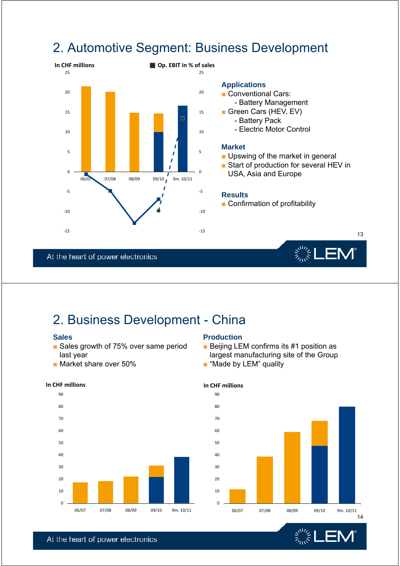

# 2. Automotive Segment: Business Development



- Conventional Cars: - Battery Management
	- -
		- Electric Motor Control

- Upswing of the market in general
- Start of production for several HEV in USA, Asia and Europe

 $\zeta_{\vec{k}}^{\vec{v}^{\prime\prime}\prime\prime}$ 

#### **Results**

■ Confirmation of profitability

13

EN

At the heart of power electronics

# 2. Business Development - China

#### **Sales**

- Sales growth of 75% over same period last year
- $\blacksquare$  Market share over 50% ■ Market share over 50% <br>■ "Made by LEM" quality

## **Production**

- Beijing LEM confirms its #1 position as largest manufacturing site of the Group
- 



## **In CHF millions In CHF millions**

- 
- 



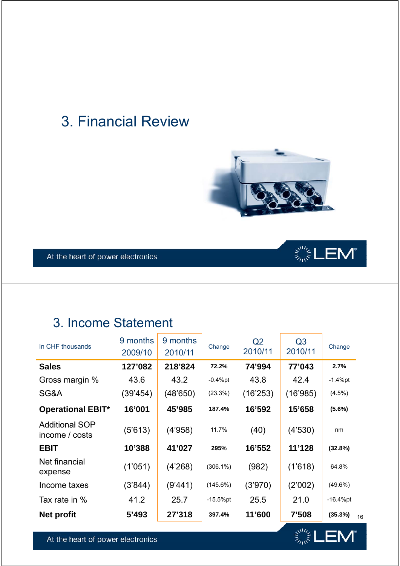# 3. Financial Review





# 3. Income Statement

| In CHF thousands                        | 9 months<br>2009/10 | 9 months<br>2010/11 | Change      | Q <sub>2</sub><br>2010/11 | Q <sub>3</sub><br>2010/11 | Change        |
|-----------------------------------------|---------------------|---------------------|-------------|---------------------------|---------------------------|---------------|
| <b>Sales</b>                            | 127'082             | 218'824             | 72.2%       | 74'994                    | 77'043                    | 2.7%          |
| Gross margin %                          | 43.6                | 43.2                | $-0.4%$ pt  | 43.8                      | 42.4                      | $-1.4%$ pt    |
| SG&A                                    | (39'454)            | (48'650)            | (23.3%)     | (16'253)                  | (16'985)                  | (4.5%)        |
| <b>Operational EBIT*</b>                | 16'001              | 45'985              | 187.4%      | 16'592                    | 15'658                    | (5.6%)        |
| <b>Additional SOP</b><br>income / costs | (5'613)             | (4'958)             | 11.7%       | (40)                      | (4'530)                   | nm            |
| <b>EBIT</b>                             | 10'388              | 41'027              | 295%        | 16'552                    | 11'128                    | (32.8%)       |
| Net financial<br>expense                | (1'051)             | (4'268)             | $(306.1\%)$ | (982)                     | (1'618)                   | 64.8%         |
| Income taxes                            | (3'844)             | (9'441)             | (145.6%)    | (3'970)                   | (2'002)                   | $(49.6\%)$    |
| Tax rate in %                           | 41.2                | 25.7                | $-15.5%$ pt | 25.5                      | 21.0                      | $-16.4%$ pt   |
| <b>Net profit</b>                       | 5'493               | 27'318              | 397.4%      | 11'600                    | 7'508                     | (35.3%)<br>16 |



 $\hat{\textbf{z}}_{\text{max}}^{\text{max}}\text{LEM}^{\text{e}}$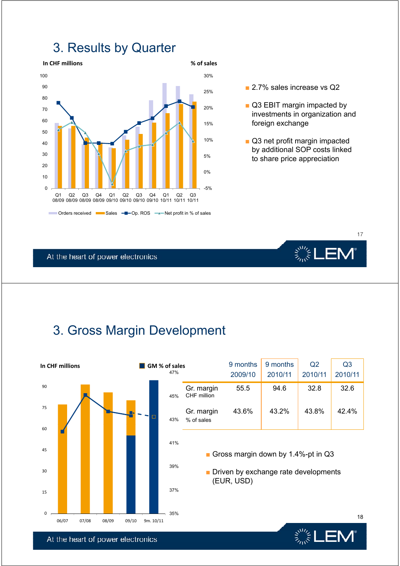# 3. Results by Quarter



- 
- Q3 EBIT margin impacted by investments in organization and foreign exchange
- Q3 net profit margin impacted by additional SOP costs linked to share price appreciation

At the heart of power electronics

# 3. Gross Margin Development



At the heart of power electronics

▒LEM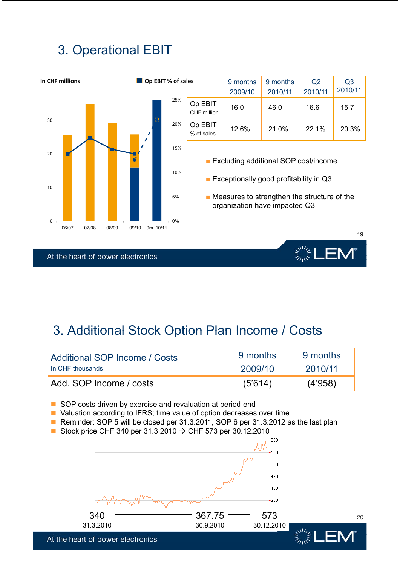# 3. Operational EBIT



# 3 Additional Stock Option Plan Income / Costs 3. Additional Stock Option Plan Income /

| Additional SOP Income / Costs | 9 months | 9 months |
|-------------------------------|----------|----------|
| In CHF thousands              | 2009/10  | 2010/11  |
| Add. SOP Income / costs       | (5'614)  | (4'958)  |

- SOP costs driven by exercise and revaluation at period-end
- Valuation according to IFRS; time value of option decreases over time
- Reminder: SOP 5 will be closed per 31.3.2011, SOP 6 per 31.3.2012 as the last plan
- Stock price CHF 340 per 31.3.2010  $\rightarrow$  CHF 573 per 30.12.2010



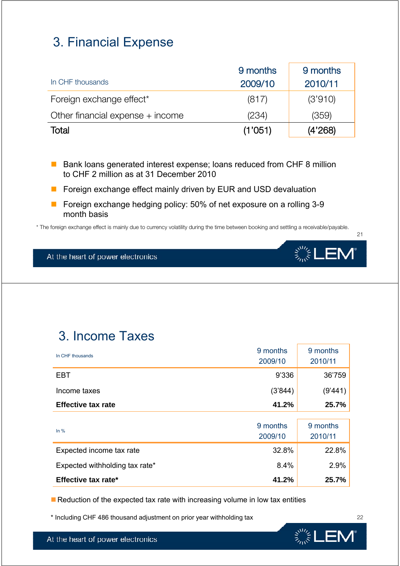# 3. Financial Expense

|                                    | 9 months | 9 months |
|------------------------------------|----------|----------|
| In CHF thousands                   | 2009/10  | 2010/11  |
| Foreign exchange effect*           | (817)    | (3'910)  |
| Other financial expense $+$ income | (234)    | (359)    |
| Total                              | (1'051)  | (4'268)  |

■ Bank loans generated interest expense; loans reduced from CHF 8 million to CHF 2 million as at 31 December 2010

- **F** Foreign exchange effect mainly driven by EUR and USD devaluation
- Foreign exchange hedging policy: 50% of net exposure on a rolling 3-9 month basis

\* The foreign exchange effect is mainly due to currency volatility during the time between booking and settling a receivable/payable.

At the heart of power electronics

# 3. Income Taxes

| In CHF thousands               | 9 months<br>2009/10 | 9 months<br>2010/11 |
|--------------------------------|---------------------|---------------------|
| <b>EBT</b>                     | 9'336               | 36'759              |
| Income taxes                   | (3'844)             | (9'441)             |
| <b>Effective tax rate</b>      | 41.2%               | 25.7%               |
| In $%$                         | 9 months<br>2009/10 | 9 months<br>2010/11 |
| Expected income tax rate       | 32.8%               | 22.8%               |
| Expected withholding tax rate* | 8.4%                | 2.9%                |

**Effective tax rate\* 41.2% 25.7%**

Reduction of the expected tax rate with increasing volume in low tax entities

\* Including CHF 486 thousand adjustment on prior year withholding tax



22

21

 $\mathbf{E}^{\mathbf{W}}_{\mathbf{W}}\mathbf{E}^{\mathbf{W}}_{\mathbf{W}}=\mathbf{E}^{\mathbf{W}}_{\mathbf{W}}\mathbf{E}^{\mathbf{W}}_{\mathbf{W}}$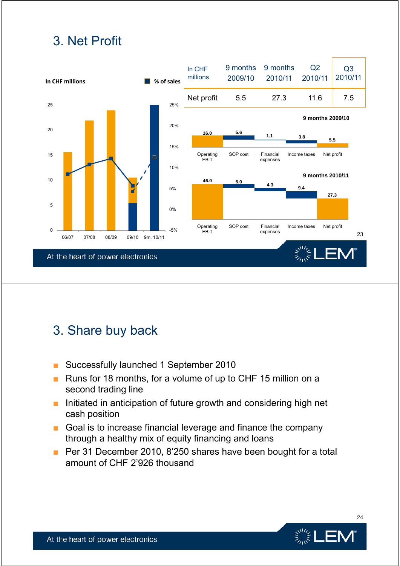# 3. Net Profit



# 3. Share buy back

- Successfully launched 1 September 2010
- Runs for 18 months, for a volume of up to CHF 15 million on a second trading line
- Initiated in anticipation of future growth and considering high net cash position
- $\blacksquare$  Goal is to increase financial leverage and finance the company through a healthy mix of equity financing and loans
- Per 31 December 2010, 8'250 shares have been bought for a total amount of CHF 2'926 thousand



24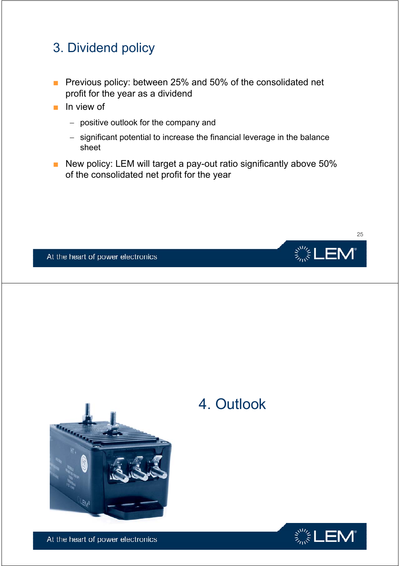# 3. Dividend policy

- Previous policy: between 25% and 50% of the consolidated net profit for the year as a dividend
- In view of
	- − positive outlook for the company and
	- − significant potential to increase the financial leverage in the balance sheet
- New policy: LEM will target a pay-out ratio significantly above 50% of the consolidated net profit for the year



At the heart of power electronics



# 4. Outlook

 $\ddot{\varepsilon}^{\rm SM}_{\tilde{\kappa}^{\rm SM}_{\rm ext}}$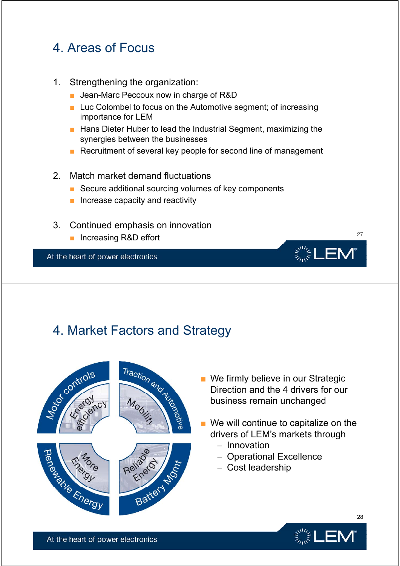# 4 Areas of Focus 4. Areas of

- 1. Strengthening the organization:
	- Jean-Marc Peccoux now in charge of R&D
	- Luc Colombel to focus on the Automotive segment; of increasing importance for LEM
	- Hans Dieter Huber to lead the Industrial Segment, maximizing the synergies between the businesses
	- Recruitment of several key people for second line of management

#### 2. Match market demand fluctuations

- Secure additional sourcing volumes of key components
- $\blacksquare$  Increase capacity and reactivity
- 3. Continued emphasis on innovation
	- Increasing R&D effort 27



# At the heart of power electronics<br>
4. Market Factors and Strategy<br>
4. Market Factors and Strategy



- We firmly believe in our Strategic Direction and the 4 drivers for our business remain unchanged
- $\blacksquare$  We will continue to capitalize on the drivers of LEM's markets through
	- − Innovation
	- − Operational Excellence
	- − Cost leadership



28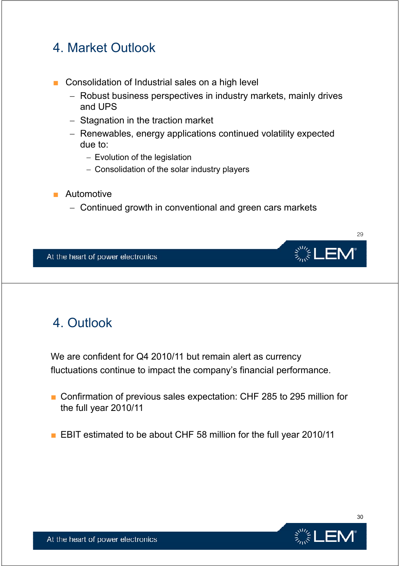# 4 Market Outlook 4. Market

- Consolidation of Industrial sales on a high level
	- − Robust business perspectives in industry markets, mainly drives and UPS
	- − Stagnation in the traction market
	- − Renewables, energy applications continued volatility expected due to:
		- − Evolution of the legislation
		- − Consolidation of the solar industry players
- Automotive
	- − Continued growth in conventional and green cars markets



# 4. Outlook

We are confident for Q4 2010/11 but remain alert as currency fluctuations continue to impact the company's financial performance.

- Confirmation of previous sales expectation: CHF 285 to 295 million for the full year 2010/11
- EBIT estimated to be about CHF 58 million for the full year 2010/11



30

29

▒LEN